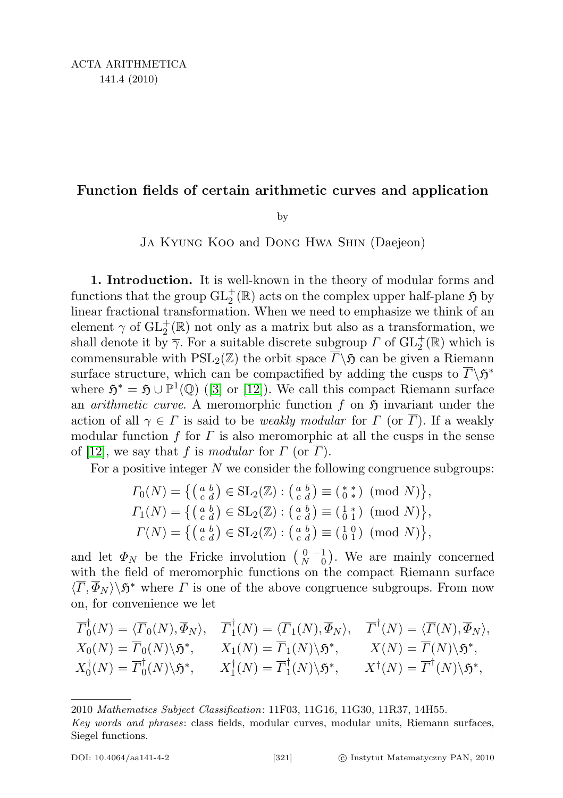## Function fields of certain arithmetic curves and application

by

Ja Kyung Koo and Dong Hwa Shin (Daejeon)

1. Introduction. It is well-known in the theory of modular forms and functions that the group  $\operatorname{GL}^+_2(\mathbb R)$  acts on the complex upper half-plane  $\mathfrak H$  by linear fractional transformation. When we need to emphasize we think of an element  $\gamma$  of  $\mathrm{GL}_2^+(\mathbb{R})$  not only as a matrix but also as a transformation, we shall denote it by  $\overline{\gamma}$ . For a suitable discrete subgroup  $\Gamma$  of  $\mathrm{GL}_2^+(\mathbb{R})$  which is commensurable with  $PSL_2(\mathbb{Z})$  the orbit space  $\overline{\Gamma}\backslash \mathfrak{H}$  can be given a Riemann surface structure, which can be compactified by adding the cusps to  $\overline{\Gamma} \backslash \mathfrak{H}^*$ where  $\mathfrak{H}^* = \mathfrak{H} \cup \mathbb{P}^1(\mathbb{Q})$  ([\[3\]](#page-12-0) or [\[12\]](#page-13-0)). We call this compact Riemann surface an *arithmetic curve*. A meromorphic function  $f$  on  $\mathfrak{H}$  invariant under the action of all  $\gamma \in \Gamma$  is said to be *weakly modular* for  $\Gamma$  (or  $\overline{\Gamma}$ ). If a weakly modular function f for  $\Gamma$  is also meromorphic at all the cusps in the sense of [\[12\]](#page-13-0), we say that f is modular for  $\Gamma$  (or  $\overline{\Gamma}$ ).

For a positive integer  $N$  we consider the following congruence subgroups:

$$
I_0(N) = \left\{ \begin{pmatrix} a & b \\ c & d \end{pmatrix} \in SL_2(\mathbb{Z}) : \begin{pmatrix} a & b \\ c & d \end{pmatrix} \equiv \begin{pmatrix} * & s \\ 0 & * \end{pmatrix} \pmod{N} \right\},
$$
  
\n
$$
I_1(N) = \left\{ \begin{pmatrix} a & b \\ c & d \end{pmatrix} \in SL_2(\mathbb{Z}) : \begin{pmatrix} a & b \\ c & d \end{pmatrix} \equiv \begin{pmatrix} 1 & s \\ 0 & 1 \end{pmatrix} \pmod{N} \right\},
$$
  
\n
$$
I(N) = \left\{ \begin{pmatrix} a & b \\ c & d \end{pmatrix} \in SL_2(\mathbb{Z}) : \begin{pmatrix} a & b \\ c & d \end{pmatrix} \equiv \begin{pmatrix} 1 & 0 \\ 0 & 1 \end{pmatrix} \pmod{N} \right\},
$$

and let  $\Phi_N$  be the Fricke involution  $\begin{pmatrix} 0 & -1 \\ N & 0 \end{pmatrix}$ . We are mainly concerned with the field of meromorphic functions on the compact Riemann surface  $\langle \overline{\Gamma}, \overline{\Phi}_N \rangle \backslash \mathfrak{H}^*$  where  $\Gamma$  is one of the above congruence subgroups. From now on, for convenience we let

$$
\overline{\Gamma}_{0}^{\dagger}(N) = \langle \overline{\Gamma}_{0}(N), \overline{\Phi}_{N} \rangle, \quad \overline{\Gamma}_{1}^{\dagger}(N) = \langle \overline{\Gamma}_{1}(N), \overline{\Phi}_{N} \rangle, \quad \overline{\Gamma}^{\dagger}(N) = \langle \overline{\Gamma}(N), \overline{\Phi}_{N} \rangle, X_{0}(N) = \overline{\Gamma}_{0}(N) \backslash \mathfrak{H}^{*}, \qquad X_{1}(N) = \overline{\Gamma}_{1}(N) \backslash \mathfrak{H}^{*}, \qquad X(N) = \overline{\Gamma}(N) \backslash \mathfrak{H}^{*}, X_{0}^{\dagger}(N) = \overline{\Gamma}_{0}^{\dagger}(N) \backslash \mathfrak{H}^{*}, \qquad X_{1}^{\dagger}(N) = \overline{\Gamma}_{1}^{\dagger}(N) \backslash \mathfrak{H}^{*}, \qquad X^{\dagger}(N) = \overline{\Gamma}^{\dagger}(N) \backslash \mathfrak{H}^{*},
$$

<sup>2010</sup> Mathematics Subject Classification: 11F03, 11G16, 11G30, 11R37, 14H55.

Key words and phrases: class fields, modular curves, modular units, Riemann surfaces, Siegel functions.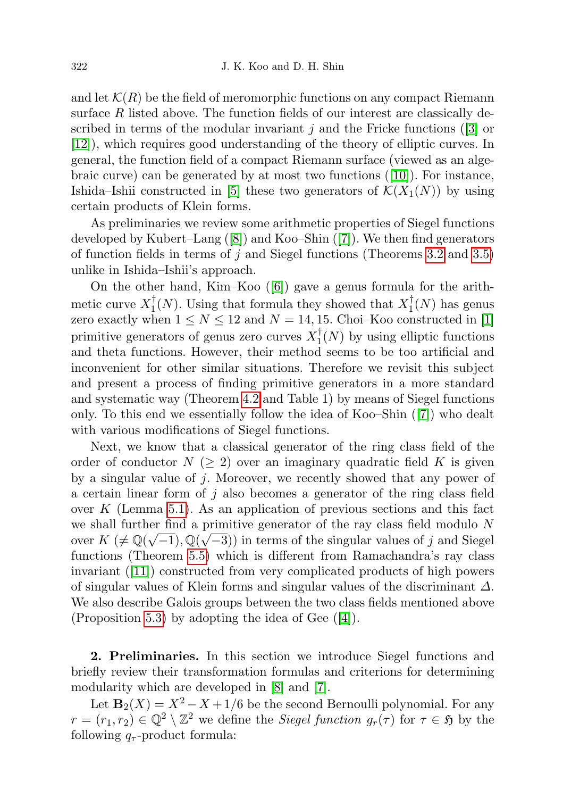and let  $\mathcal{K}(R)$  be the field of meromorphic functions on any compact Riemann surface  $R$  listed above. The function fields of our interest are classically described in terms of the modular invariant j and the Fricke functions  $(3)$  or [\[12\]](#page-13-0)), which requires good understanding of the theory of elliptic curves. In general, the function field of a compact Riemann surface (viewed as an algebraic curve) can be generated by at most two functions ([\[10\]](#page-13-1)). For instance, Ishida–Ishii constructed in [\[5\]](#page-12-1) these two generators of  $\mathcal{K}(X_1(N))$  by using certain products of Klein forms.

As preliminaries we review some arithmetic properties of Siegel functions developed by Kubert–Lang ([\[8\]](#page-13-2)) and Koo–Shin ([\[7\]](#page-13-3)). We then find generators of function fields in terms of  $j$  and Siegel functions (Theorems [3.2](#page-4-0) and [3.5\)](#page-6-0) unlike in Ishida–Ishii's approach.

On the other hand, Kim–Koo ([\[6\]](#page-13-4)) gave a genus formula for the arithmetic curve  $X_1^{\dagger}$  $\frac{1}{1}(N)$ . Using that formula they showed that  $X_1^{\dagger}$  $T_1(N)$  has genus zero exactly when  $1 \le N \le 12$  and  $N = 14, 15$ . Choi–Koo constructed in [\[1\]](#page-12-2) primitive generators of genus zero curves  $X_1^{\dagger}$  $\prod_{1}^{1}(N)$  by using elliptic functions and theta functions. However, their method seems to be too artificial and inconvenient for other similar situations. Therefore we revisit this subject and present a process of finding primitive generators in a more standard and systematic way (Theorem [4.2](#page-7-0) and Table 1) by means of Siegel functions only. To this end we essentially follow the idea of Koo–Shin ([\[7\]](#page-13-3)) who dealt with various modifications of Siegel functions.

Next, we know that a classical generator of the ring class field of the order of conductor  $N \geq 2$  over an imaginary quadratic field K is given by a singular value of j. Moreover, we recently showed that any power of a certain linear form of  $j$  also becomes a generator of the ring class field over  $K$  (Lemma [5.1\)](#page-9-0). As an application of previous sections and this fact we shall further find a primitive generator of the ray class field modulo N over  $K \neq \mathbb{Q}(\sqrt{-1}), \mathbb{Q}(\sqrt{-3})$  in terms of the singular values of j and Siegel functions (Theorem [5.5\)](#page-11-0) which is different from Ramachandra's ray class invariant ([\[11\]](#page-13-5)) constructed from very complicated products of high powers of singular values of Klein forms and singular values of the discriminant  $\Delta$ . We also describe Galois groups between the two class fields mentioned above (Proposition [5.3\)](#page-10-0) by adopting the idea of Gee ([\[4\]](#page-12-3)).

2. Preliminaries. In this section we introduce Siegel functions and briefly review their transformation formulas and criterions for determining modularity which are developed in [\[8\]](#page-13-2) and [\[7\]](#page-13-3).

Let  $\mathbf{B}_2(X) = X^2 - X + 1/6$  be the second Bernoulli polynomial. For any  $r = (r_1, r_2) \in \mathbb{Q}^2 \setminus \mathbb{Z}^2$  we define the *Siegel function*  $g_r(\tau)$  for  $\tau \in \mathfrak{H}$  by the following  $q_{\tau}$ -product formula: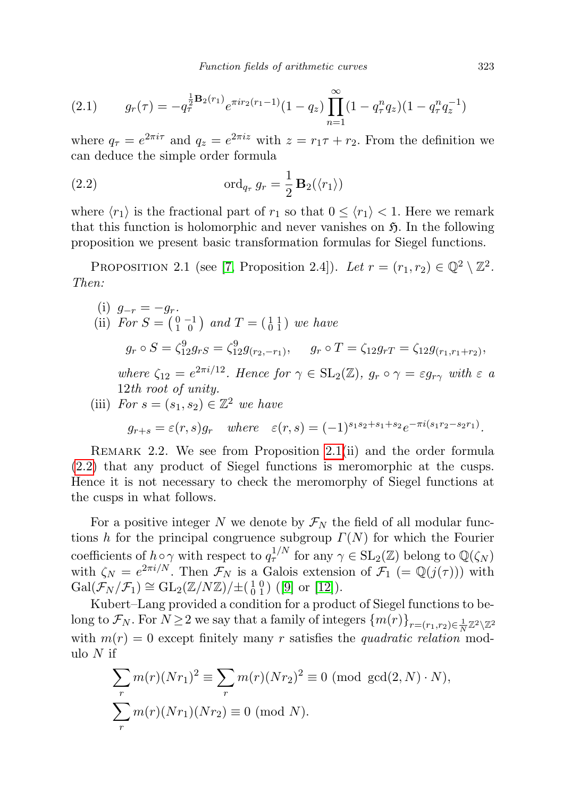<span id="page-2-3"></span>(2.1) 
$$
g_r(\tau) = -q_\tau^{\frac{1}{2}\mathbf{B}_2(r_1)} e^{\pi i r_2(r_1 - 1)} (1 - q_z) \prod_{n=1}^{\infty} (1 - q_\tau^n q_z) (1 - q_\tau^n q_z^{-1})
$$

where  $q_{\tau} = e^{2\pi i \tau}$  and  $q_z = e^{2\pi i z}$  with  $z = r_1 \tau + r_2$ . From the definition we can deduce the simple order formula

<span id="page-2-1"></span>(2.2) 
$$
\operatorname{ord}_{q_{\tau}} g_r = \frac{1}{2} \mathbf{B}_2(\langle r_1 \rangle)
$$

where  $\langle r_1 \rangle$  is the fractional part of  $r_1$  so that  $0 \leq \langle r_1 \rangle < 1$ . Here we remark that this function is holomorphic and never vanishes on  $\mathfrak{H}$ . In the following proposition we present basic transformation formulas for Siegel functions.

<span id="page-2-0"></span>PROPOSITION 2.1 (see [\[7,](#page-13-3) Proposition 2.4]). Let  $r = (r_1, r_2) \in \mathbb{Q}^2 \setminus \mathbb{Z}^2$ . Then:

(i) 
$$
g_{-r} = -g_r
$$
.  
\n(ii) For  $S = \begin{pmatrix} 0 & -1 \\ 1 & 0 \end{pmatrix}$  and  $T = \begin{pmatrix} 1 & 1 \\ 0 & 1 \end{pmatrix}$  we have  
\n $g_r \circ S = \zeta_{12}^9 g_{rS} = \zeta_{12}^9 g_{(r_2, -r_1)}$ ,  $g_r \circ T = \zeta_{12} g_{rT} = \zeta_{12} g_{(r_1, r_1 + r_2)}$ ,  
\nwhere  $\zeta_{12} = e^{2\pi i/12}$ . Hence for  $\gamma \in SL_2(\mathbb{Z})$ ,  $g_r \circ \gamma = \varepsilon g_{r\gamma}$  with  $\varepsilon$  a  
\n12th root of unity.  
\n(iii) For  $s = (s_1, s_2) \in \mathbb{Z}^2$  we have

$$
g_{r+s} = \varepsilon(r,s)g_r
$$
 where  $\varepsilon(r,s) = (-1)^{s_1s_2+s_1+s_2}e^{-\pi i(s_1r_2-s_2r_1)}$ .

REMARK 2.2. We see from Proposition [2.1\(](#page-2-0)ii) and the order formula [\(2.2\)](#page-2-1) that any product of Siegel functions is meromorphic at the cusps. Hence it is not necessary to check the meromorphy of Siegel functions at the cusps in what follows.

For a positive integer N we denote by  $\mathcal{F}_N$  the field of all modular functions h for the principal congruence subgroup  $\Gamma(N)$  for which the Fourier coefficients of  $h \circ \gamma$  with respect to  $q_\tau^{1/N}$  for any  $\gamma \in SL_2(\mathbb{Z})$  belong to  $\mathbb{Q}(\zeta_N)$ with  $\zeta_N = e^{2\pi i/N}$ . Then  $\mathcal{F}_N$  is a Galois extension of  $\mathcal{F}_1$  (=  $\mathbb{Q}(j(\tau))$ ) with  $Gal(\widetilde{\mathcal{F}_N}/\mathcal{F}_1) \cong GL_2(\mathbb{Z}/N\mathbb{Z})/\pm(\begin{smallmatrix} 1 & 0 \\ 0 & 1 \end{smallmatrix}) \text{ ([9] or [12])}.$  $Gal(\widetilde{\mathcal{F}_N}/\mathcal{F}_1) \cong GL_2(\mathbb{Z}/N\mathbb{Z})/\pm(\begin{smallmatrix} 1 & 0 \\ 0 & 1 \end{smallmatrix}) \text{ ([9] or [12])}.$  $Gal(\widetilde{\mathcal{F}_N}/\mathcal{F}_1) \cong GL_2(\mathbb{Z}/N\mathbb{Z})/\pm(\begin{smallmatrix} 1 & 0 \\ 0 & 1 \end{smallmatrix}) \text{ ([9] or [12])}.$  $Gal(\widetilde{\mathcal{F}_N}/\mathcal{F}_1) \cong GL_2(\mathbb{Z}/N\mathbb{Z})/\pm(\begin{smallmatrix} 1 & 0 \\ 0 & 1 \end{smallmatrix}) \text{ ([9] or [12])}.$  $Gal(\widetilde{\mathcal{F}_N}/\mathcal{F}_1) \cong GL_2(\mathbb{Z}/N\mathbb{Z})/\pm(\begin{smallmatrix} 1 & 0 \\ 0 & 1 \end{smallmatrix}) \text{ ([9] or [12])}.$ 

Kubert–Lang provided a condition for a product of Siegel functions to belong to  $\mathcal{F}_N$ . For  $N \ge 2$  we say that a family of integers  $\{m(r)\}_{r=(r_1,r_2)\in \frac{1}{N}\mathbb{Z}^2\setminus\mathbb{Z}^2}$ with  $m(r) = 0$  except finitely many r satisfies the quadratic relation modulo  $N$  if

<span id="page-2-2"></span>
$$
\sum_{r} m(r)(Nr_1)^2 \equiv \sum_{r} m(r)(Nr_2)^2 \equiv 0 \pmod{\gcd(2, N) \cdot N},
$$
  

$$
\sum_{r} m(r)(Nr_1)(Nr_2) \equiv 0 \pmod{N}.
$$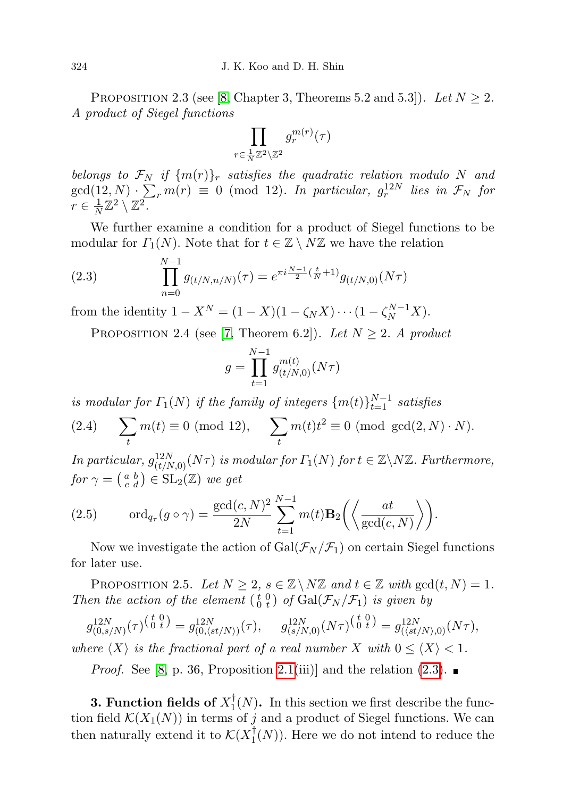PROPOSITION 2.3 (see [\[8,](#page-13-2) Chapter 3, Theorems 5.2 and 5.3]). Let  $N \geq 2$ . A product of Siegel functions

$$
\prod_{r \in \frac{1}{N}\mathbb{Z}^2 \backslash \mathbb{Z}^2} g^{m(r)}_r(\tau)
$$

belongs to  $\mathcal{F}_N$  if  $\{m(r)\}_r$  satisfies the quadratic relation modulo N and  $gcd(12, N) \cdot \sum_{r} m(r) \equiv 0 \pmod{12}$ . In particular,  $g_r^{12N}$  lies in  $\mathcal{F}_N$  for  $r \in \frac{1}{N}$  $\frac{1}{N}\mathbb{Z}^2\setminus \mathbb{Z}^2$  .

We further examine a condition for a product of Siegel functions to be modular for  $\Gamma_1(N)$ . Note that for  $t \in \mathbb{Z} \setminus N\mathbb{Z}$  we have the relation

<span id="page-3-0"></span>(2.3) 
$$
\prod_{n=0}^{N-1} g_{(t/N,n/N)}(\tau) = e^{\pi i \frac{N-1}{2} (\frac{t}{N}+1)} g_{(t/N,0)}(N\tau)
$$

<span id="page-3-1"></span>from the identity  $1 - X^N = (1 - X)(1 - \zeta_N X) \cdots (1 - \zeta_N^{N-1} X).$ 

PROPOSITION 2.4 (see [\[7,](#page-13-3) Theorem 6.2]). Let  $N \geq 2$ . A product

$$
g = \prod_{t=1}^{N-1} g_{(t/N,0)}^{m(t)}(N\tau)
$$

is modular for  $\Gamma_1(N)$  if the family of integers  $\{m(t)\}_{t=1}^{N-1}$  satisfies

<span id="page-3-3"></span>(2.4) 
$$
\sum_{t} m(t) \equiv 0 \pmod{12}, \quad \sum_{t} m(t)t^2 \equiv 0 \pmod{gcd(2,N) \cdot N}.
$$

In particular,  $g_{(t/N,0)}^{12N}(N\tau)$  is modular for  $\Gamma_1(N)$  for  $t \in \mathbb{Z}\backslash N\mathbb{Z}$ . Furthermore, for  $\gamma = \begin{pmatrix} a & b \\ c & d \end{pmatrix} \in SL_2(\mathbb{Z})$  we get

<span id="page-3-2"></span>(2.5) 
$$
\operatorname{ord}_{q_{\tau}}(g \circ \gamma) = \frac{\gcd(c, N)^2}{2N} \sum_{t=1}^{N-1} m(t) \mathbf{B}_2\left(\left\langle \frac{at}{\gcd(c, N)} \right\rangle\right).
$$

Now we investigate the action of  $Gal(\mathcal{F}_N/\mathcal{F}_1)$  on certain Siegel functions for later use.

<span id="page-3-4"></span>PROPOSITION 2.5. Let  $N \geq 2$ ,  $s \in \mathbb{Z} \setminus N\mathbb{Z}$  and  $t \in \mathbb{Z}$  with  $gcd(t, N) = 1$ . Then the action of the element  $\begin{pmatrix} t & 0 \\ 0 & t \end{pmatrix}$  of  $Gal(\mathcal{F}_N/\mathcal{F}_1)$  is given by

 $g_{(0,s/N)}^{12N}(\tau)^{\left(\begin{smallmatrix} t & 0 \ 0 & t \end{smallmatrix}\right)}=g_{(0,(st/N))}^{12N}(\tau),~~~~~g_{(s/N,0)}^{12N}(N\tau)^{\left(\begin{smallmatrix} t & 0 \ 0 & t \end{smallmatrix}\right)}=g_{((st/N),0)}^{12N}(N\tau),$ where  $\langle X \rangle$  is the fractional part of a real number X with  $0 \leq \langle X \rangle < 1$ .

*Proof.* See [\[8,](#page-13-2) p. 36, Proposition [2.1\(](#page-2-0)iii)] and the relation  $(2.3)$ .

3. Function fields of  $X_1^\dagger$  $\prod_{i=1}^{n}$  (N). In this section we first describe the function field  $\mathcal{K}(X_1(N))$  in terms of j and a product of Siegel functions. We can then naturally extend it to  $\mathcal{K}(X_1^{\dagger})$  $T_1(N)$ ). Here we do not intend to reduce the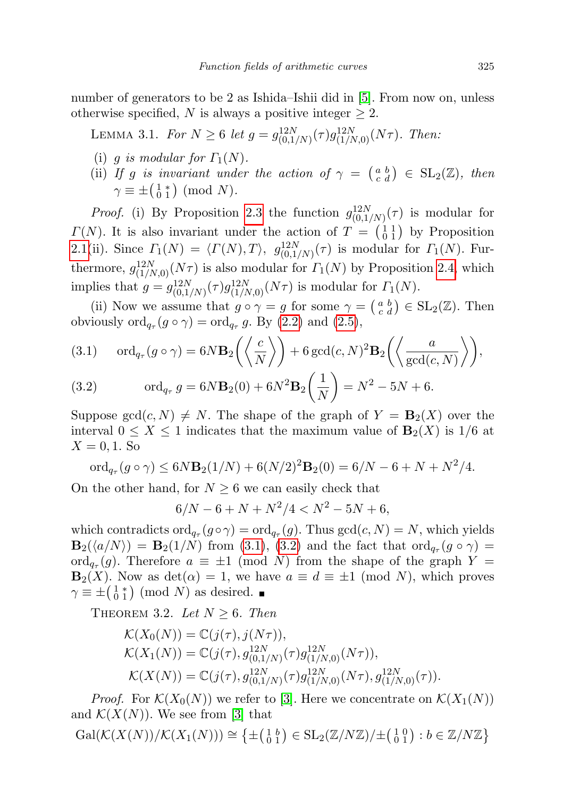number of generators to be 2 as Ishida–Ishii did in [\[5\]](#page-12-1). From now on, unless otherwise specified, N is always a positive integer  $\geq 2$ .

<span id="page-4-1"></span>LEMMA 3.1. For  $N \geq 6$  let  $g = g_{(0,1/N)}^{12N}(\tau)g_{(1/N,0)}^{12N}(N\tau)$ . Then:

- (i) g is modular for  $\Gamma_1(N)$ .
- (ii) If g is invariant under the action of  $\gamma = \begin{pmatrix} a & b \\ c & d \end{pmatrix} \in SL_2(\mathbb{Z})$ , then  $\gamma \equiv \pm \begin{pmatrix} 1 & * \\ 0 & 1 \end{pmatrix}$  (mod N).

*Proof.* (i) By Proposition [2.3](#page-2-2) the function  $g_{(0,1/N)}^{12N}(\tau)$  is modular for  $\Gamma(N)$ . It is also invariant under the action of  $T = \begin{pmatrix} 1 & 1 \\ 0 & 1 \end{pmatrix}$  by Proposition [2.1\(](#page-2-0)ii). Since  $\Gamma_1(N) = \langle \Gamma(N), T \rangle$ ,  $g_{(0,1/N)}^{12N}(\tau)$  is modular for  $\Gamma_1(N)$ . Furthermore,  $g_{(1/N,0)}^{12N}(N\tau)$  is also modular for  $\Gamma_1(N)$  by Proposition [2.4,](#page-3-1) which implies that  $g = g_{(0,1/N)}^{12N}(\tau)g_{(1/N,0)}^{12N}(N\tau)$  is modular for  $\Gamma_1(N)$ .

(ii) Now we assume that  $g \circ \gamma = g$  for some  $\gamma = \begin{pmatrix} a & b \\ c & d \end{pmatrix} \in SL_2(\mathbb{Z})$ . Then obviously  $\text{ord}_{q_{\tau}}(g \circ \gamma) = \text{ord}_{q_{\tau}} g$ . By [\(2.2\)](#page-2-1) and [\(2.5\)](#page-3-2),

(3.1) 
$$
\operatorname{ord}_{q_{\tau}}(g \circ \gamma) = 6N \mathbf{B}_2\left(\left\langle \frac{c}{N} \right\rangle\right) + 6 \operatorname{gcd}(c, N)^2 \mathbf{B}_2\left(\left\langle \frac{a}{\operatorname{gcd}(c, N)} \right\rangle\right),
$$

(3.2) 
$$
\operatorname{ord}_{q_{\tau}} g = 6N \mathbf{B}_{2}(0) + 6N^{2} \mathbf{B}_{2}\left(\frac{1}{N}\right) = N^{2} - 5N + 6.
$$

Suppose  $gcd(c, N) \neq N$ . The shape of the graph of  $Y = \mathbf{B}_2(X)$  over the interval  $0 \leq X \leq 1$  indicates that the maximum value of  $\mathbf{B}_2(X)$  is  $1/6$  at  $X = 0, 1$ . So

$$
\operatorname{ord}_{q_{\tau}}(g \circ \gamma) \le 6N \mathbf{B}_2(1/N) + 6(N/2)^2 \mathbf{B}_2(0) = 6/N - 6 + N + N^2/4.
$$

On the other hand, for  $N \geq 6$  we can easily check that

$$
6/N - 6 + N + N^2/4 < N^2 - 5N + 6,
$$

which contradicts  $\text{ord}_{q_{\tau}}(g \circ \gamma) = \text{ord}_{q_{\tau}}(g)$ . Thus  $\gcd(c, N) = N$ , which yields  $\mathbf{B}_2(\langle a/N \rangle) = \mathbf{B}_2(1/N)$  from [\(3.1\)](#page-4-1), [\(3.2\)](#page-4-1) and the fact that  $\text{ord}_{q_\tau}(g \circ \gamma) =$  $\mathrm{ord}_{q_{\tau}}(g)$ . Therefore  $a \equiv \pm 1 \pmod{N}$  from the shape of the graph  $Y =$  $\mathbf{B}_2(X)$ . Now as  $\det(\alpha) = 1$ , we have  $a \equiv d \equiv \pm 1 \pmod{N}$ , which proves  $\gamma \equiv \pm \begin{pmatrix} 1 & * \\ 0 & 1 \end{pmatrix}$  (mod N) as desired.

<span id="page-4-0"></span>THEOREM 3.2. Let  $N \geq 6$ . Then

$$
\mathcal{K}(X_0(N)) = \mathbb{C}(j(\tau), j(N\tau)),
$$
  
\n
$$
\mathcal{K}(X_1(N)) = \mathbb{C}(j(\tau), g_{(0,1/N)}^{12N}(\tau)g_{(1/N,0)}^{12N}(N\tau)),
$$
  
\n
$$
\mathcal{K}(X(N)) = \mathbb{C}(j(\tau), g_{(0,1/N)}^{12N}(\tau)g_{(1/N,0)}^{12N}(N\tau), g_{(1/N,0)}^{12N}(\tau)).
$$

*Proof.* For  $\mathcal{K}(X_0(N))$  we refer to [\[3\]](#page-12-0). Here we concentrate on  $\mathcal{K}(X_1(N))$ and  $\mathcal{K}(X(N))$ . We see from [\[3\]](#page-12-0) that

$$
\operatorname{Gal}(\mathcal{K}(X(N))/\mathcal{K}(X_1(N))) \cong \left\{ \pm \left( \begin{smallmatrix} 1 & b \\ 0 & 1 \end{smallmatrix} \right) \in \operatorname{SL}_2(\mathbb{Z}/N\mathbb{Z})/\pm \left( \begin{smallmatrix} 1 & 0 \\ 0 & 1 \end{smallmatrix} \right) : b \in \mathbb{Z}/N\mathbb{Z} \right\}
$$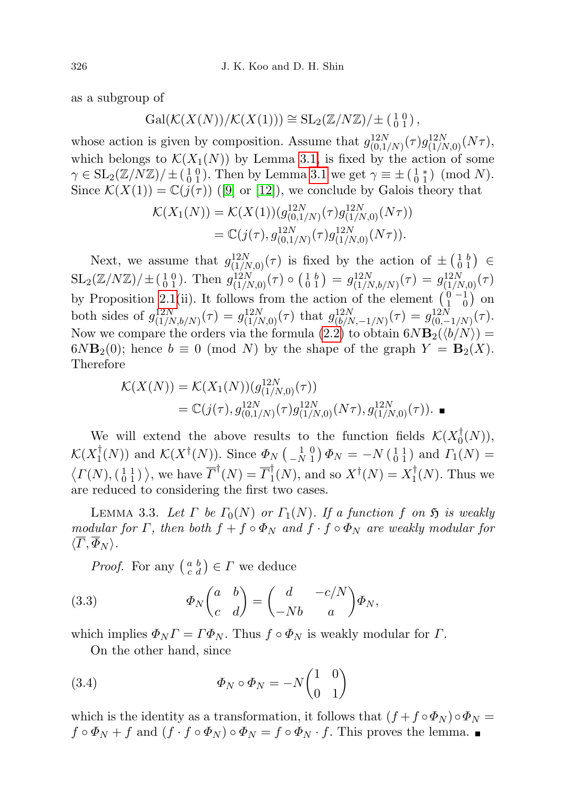as a subgroup of

$$
Gal(\mathcal{K}(X(N))/\mathcal{K}(X(1))) \cong SL_2(\mathbb{Z}/N\mathbb{Z})/\pm \left(\begin{smallmatrix} 1 & 0 \\ 0 & 1 \end{smallmatrix}\right),
$$

whose action is given by composition. Assume that  $g_{(0,1/N)}^{12N}(\tau)g_{(1/N,0)}^{12N}(N\tau)$ , which belongs to  $\mathcal{K}(X_1(N))$  by Lemma [3.1,](#page-4-1) is fixed by the action of some  $\gamma \in SL_2(\mathbb{Z}/N\mathbb{Z})/\pm (\begin{smallmatrix} 1 & 0 \\ 0 & 1 \end{smallmatrix})$ . Then by Lemma [3.1](#page-4-1) we get  $\gamma \equiv \pm (\begin{smallmatrix} 1 & * \\ 0 & 1 \end{smallmatrix}) \pmod{N}$ . Since  $\mathcal{K}(X(1)) = \mathbb{C}(j(\tau))$  ([\[9\]](#page-13-6) or [\[12\]](#page-13-0)), we conclude by Galois theory that

$$
\mathcal{K}(X_1(N)) = \mathcal{K}(X(1))(g_{(0,1/N)}^{12N}(\tau)g_{(1/N,0)}^{12N}(N\tau))
$$
  
=  $\mathbb{C}(j(\tau), g_{(0,1/N)}^{12N}(\tau)g_{(1/N,0)}^{12N}(N\tau)).$ 

Next, we assume that  $g_{(1/N,0)}^{12N}(\tau)$  is fixed by the action of  $\pm \begin{pmatrix} 1 & b \\ 0 & 1 \end{pmatrix} \in$  $\text{SL}_2(\mathbb{Z}/N\mathbb{Z})/\pm(\begin{smallmatrix} 1 & 0 \\ 0 & 1 \end{smallmatrix})$ . Then  $g_{(1/N,0)}^{12N}(\tau) \circ (\begin{smallmatrix} 1 & b \\ 0 & 1 \end{smallmatrix}) = g_{(1/N,b/N)}^{12N}(\tau) = g_{(1/N,0)}^{12N}(\tau)$ by Proposition [2.1\(](#page-2-0)ii). It follows from the action of the element  $\begin{pmatrix} 0 & -1 \\ 1 & 0 \end{pmatrix}$  on both sides of  $g_{(1/N,b/N)}^{12N}(\tau) = g_{(1/N,0)}^{12N}(\tau)$  that  $g_{(b/N,-1/N)}^{12N}(\tau) = g_{(0,-1/N)}^{12N}(\tau)$ . Now we compare the orders via the formula [\(2.2\)](#page-2-1) to obtain  $6N\mathbf{B}_2(\langle b/N \rangle) =$  $6N\mathbf{B}_2(0)$ ; hence  $b \equiv 0 \pmod{N}$  by the shape of the graph  $Y = \mathbf{B}_2(X)$ . Therefore

$$
\mathcal{K}(X(N)) = \mathcal{K}(X_1(N))(g_{(1/N,0)}^{12N}(\tau))
$$
  
=  $\mathbb{C}(j(\tau), g_{(0,1/N)}^{12N}(\tau)g_{(1/N,0)}^{12N}(N\tau), g_{(1/N,0)}^{12N}(\tau)).$ 

We will extend the above results to the function fields  $\mathcal{K}(X_0^{\dagger})$  $_{0}^{+}(N)),$  $\mathcal{K}(X_1^\dagger$  $\mathcal{L}(N)$  and  $\mathcal{K}(X^{\dagger}(N))$ . Since  $\Phi_N$   $\begin{pmatrix} 1 & 0 \\ -N & 1 \end{pmatrix} \Phi_N = -N \begin{pmatrix} 1 & 1 \\ 0 & 1 \end{pmatrix}$  and  $\Gamma_1(N) =$  $\langle \Gamma(N), \begin{pmatrix} 1 & 1 \\ 0 & 1 \end{pmatrix} \rangle$ , we have  $\overline{\Gamma}^{\dagger}(N) = \overline{\Gamma}_1^{\dagger}$  $\mathcal{I}_1^{\dagger}(N)$ , and so  $X^{\dagger}(N) = X_1^{\dagger}$  $\frac{1}{1}(N)$ . Thus we are reduced to considering the first two cases.

<span id="page-5-1"></span>LEMMA 3.3. Let  $\Gamma$  be  $\Gamma_0(N)$  or  $\Gamma_1(N)$ . If a function f on  $\mathfrak H$  is weakly modular for Γ, then both  $f + f \circ \Phi_N$  and  $f \cdot f \circ \Phi_N$  are weakly modular for  $\langle \overline{\Gamma}, \overline{\Phi}_N \rangle$ .

<span id="page-5-2"></span>*Proof.* For any  $\begin{pmatrix} a & b \\ c & d \end{pmatrix} \in \Gamma$  we deduce

(3.3) 
$$
\Phi_N \begin{pmatrix} a & b \\ c & d \end{pmatrix} = \begin{pmatrix} d & -c/N \\ -Nb & a \end{pmatrix} \Phi_N,
$$

which implies  $\Phi_N \Gamma = \Gamma \Phi_N$ . Thus  $f \circ \Phi_N$  is weakly modular for  $\Gamma$ .

<span id="page-5-3"></span>On the other hand, since

(3.4) 
$$
\Phi_N \circ \Phi_N = -N \begin{pmatrix} 1 & 0 \\ 0 & 1 \end{pmatrix}
$$

<span id="page-5-0"></span>which is the identity as a transformation, it follows that  $(f + f \circ \Phi_N) \circ \Phi_N =$  $f \circ \Phi_N + f$  and  $(f \cdot f \circ \Phi_N) \circ \Phi_N = f \circ \Phi_N \cdot f$ . This proves the lemma.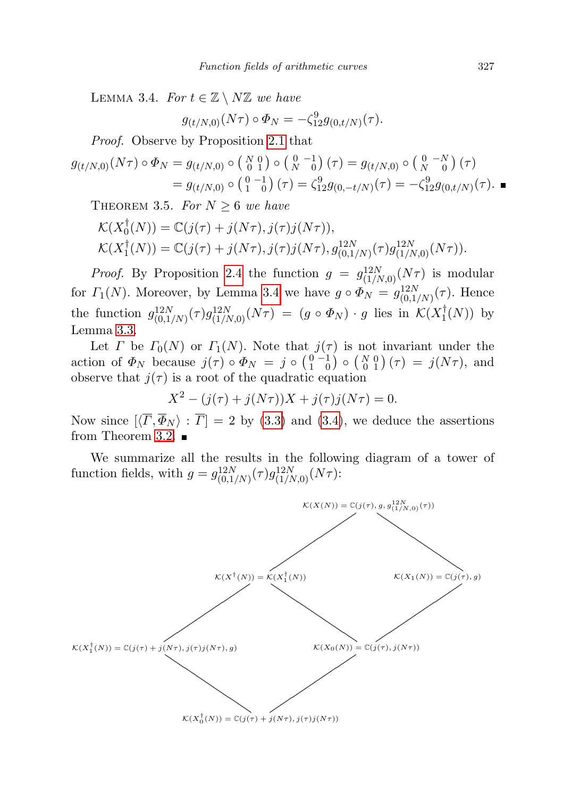LEMMA 3.4. For  $t \in \mathbb{Z} \setminus N\mathbb{Z}$  we have

$$
g_{(t/N,0)}(N\tau) \circ \Phi_N = -\zeta_{12}^9 g_{(0,t/N)}(\tau).
$$

Proof. Observe by Proposition [2.1](#page-2-0) that

$$
g_{(t/N,0)}(N\tau) \circ \Phi_N = g_{(t/N,0)} \circ {N \choose 0} {0 \choose 0} {1 \choose 0} (\tau) = g_{(t/N,0)} \circ {0 \choose N} {0 \choose 0} (\tau)
$$
  
=  $g_{(t/N,0)} \circ {0 \choose 1} {0 \choose 0} (\tau) = \zeta_{12}^9 g_{(0,-t/N)}(\tau) = -\zeta_{12}^9 g_{(0,t/N)}(\tau)$ .

<span id="page-6-0"></span>THEOREM 3.5. For  $N \geq 6$  we have

$$
\mathcal{K}(X_0^{\dagger}(N)) = \mathbb{C}(j(\tau) + j(N\tau), j(\tau)j(N\tau)),
$$
  
\n
$$
\mathcal{K}(X_1^{\dagger}(N)) = \mathbb{C}(j(\tau) + j(N\tau), j(\tau)j(N\tau), g_{(0,1/N)}^{12N}(\tau)g_{(1/N,0)}^{12N}(N\tau)).
$$

*Proof.* By Proposition [2.4](#page-3-1) the function  $g = g_{(1/N,0)}^{12N}(N\tau)$  is modular for  $\Gamma_1(N)$ . Moreover, by Lemma [3.4](#page-5-0) we have  $g \circ \Phi_N = g_{(0,1/N)}^{12N}(\tau)$ . Hence the function  $g_{(0,1/N)}^{12N}(\tau)g_{(1/N,0)}^{12N}(N\tau) = (g \circ \Phi_N) \cdot g$  lies in  $\mathcal{K}(X_1^{\dagger})$  $\frac{1}{1}(N)$  by Lemma [3.3.](#page-5-1)

Let  $\Gamma$  be  $\Gamma_0(N)$  or  $\Gamma_1(N)$ . Note that  $j(\tau)$  is not invariant under the action of  $\Phi_N$  because  $j(\tau) \circ \Phi_N = j \circ \left(\begin{smallmatrix} 0 & -1 \\ 1 & 0 \end{smallmatrix}\right) \circ \left(\begin{smallmatrix} N & 0 \\ 0 & 1 \end{smallmatrix}\right) (\tau) = j(N\tau)$ , and observe that  $j(\tau)$  is a root of the quadratic equation

$$
X^{2} - (j(\tau) + j(N\tau))X + j(\tau)j(N\tau) = 0.
$$

Now since  $[\langle \overline{T}, \overline{\Phi}_N \rangle : \overline{T}] = 2$  by [\(3.3\)](#page-5-2) and [\(3.4\)](#page-5-3), we deduce the assertions from Theorem [3.2.](#page-4-0)  $\blacksquare$ 

We summarize all the results in the following diagram of a tower of function fields, with  $g = g_{(0,1/N)}^{12N}(\tau)g_{(1/N,0)}^{12N}(N\tau)$ :

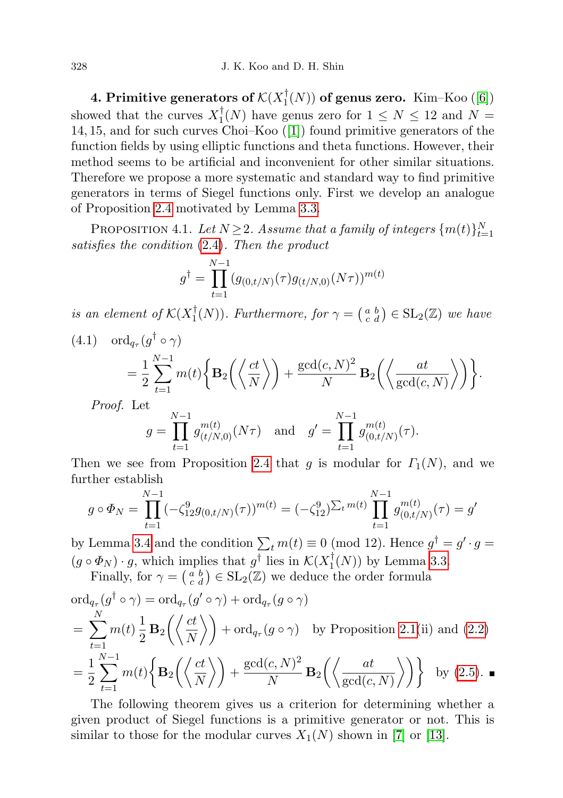4. Primitive generators of  $\mathcal{K}(X_1^\dagger)$  $T_1(N)$ ) of genus zero. Kim–Koo ([\[6\]](#page-13-4)) showed that the curves  $X_1^{\dagger}$  $\binom{1}{1}(N)$  have genus zero for  $1 \leq N \leq 12$  and  $N =$ 14, 15, and for such curves Choi–Koo ([\[1\]](#page-12-2)) found primitive generators of the function fields by using elliptic functions and theta functions. However, their method seems to be artificial and inconvenient for other similar situations. Therefore we propose a more systematic and standard way to find primitive generators in terms of Siegel functions only. First we develop an analogue of Proposition [2.4](#page-3-1) motivated by Lemma [3.3.](#page-5-1)

<span id="page-7-2"></span>PROPOSITION 4.1. Let  $N \geq 2$ . Assume that a family of integers  $\{m(t)\}_{t=1}^N$ satisfies the condition [\(2.4\)](#page-3-3). Then the product

$$
g^{\dagger} = \prod_{t=1}^{N-1} (g_{(0,t/N)}(\tau) g_{(t/N,0)}(N\tau))^{m(t)}
$$

is an element of  $\mathcal{K}(X_1^\dagger)$  $\mathcal{L}_1^{\dagger}(N)$ . Furthermore, for  $\gamma = \begin{pmatrix} a & b \\ c & d \end{pmatrix} \in SL_2(\mathbb{Z})$  we have

<span id="page-7-1"></span>(4.1) 
$$
\text{ord}_{q_{\tau}}(g^{\dagger} \circ \gamma) = \frac{1}{2} \sum_{t=1}^{N-1} m(t) \left\{ \mathbf{B}_2\left( \left\langle \frac{ct}{N} \right\rangle \right) + \frac{\text{gcd}(c, N)^2}{N} \mathbf{B}_2\left( \left\langle \frac{at}{\text{gcd}(c, N)} \right\rangle \right) \right\}.
$$

Proof. Let

$$
g = \prod_{t=1}^{N-1} g_{(t/N,0)}^{m(t)}(N\tau) \text{ and } g' = \prod_{t=1}^{N-1} g_{(0,t/N)}^{m(t)}(\tau).
$$

Then we see from Proposition [2.4](#page-3-1) that g is modular for  $\Gamma_1(N)$ , and we further establish

$$
g \circ \Phi_N = \prod_{t=1}^{N-1} (-\zeta_{12}^9 g_{(0,t/N)}(\tau))^{m(t)} = (-\zeta_{12}^9)^{\sum_t m(t)} \prod_{t=1}^{N-1} g_{(0,t/N)}^{m(t)}(\tau) = g'
$$

by Lemma [3.4](#page-5-0) and the condition  $\sum_t m(t) \equiv 0 \pmod{12}$ . Hence  $g^{\dagger} = g' \cdot g =$  $(g \circ \Phi_N) \cdot g$ , which implies that  $g^{\dagger}$  lies in  $\mathcal{K}(X_1^{\dagger})$  $\binom{1}{1}(N)$  by Lemma [3.3.](#page-5-1)

Finally, for  $\gamma = \begin{pmatrix} a & b \\ c & d \end{pmatrix} \in SL_2(\mathbb{Z})$  we deduce the order formula

$$
\begin{split} &\text{ord}_{q_{\tau}}(g^{\dagger} \circ \gamma) = \text{ord}_{q_{\tau}}(g' \circ \gamma) + \text{ord}_{q_{\tau}}(g \circ \gamma) \\ &= \sum_{t=1}^{N} m(t) \frac{1}{2} \mathbf{B}_2\left(\left\langle \frac{ct}{N} \right\rangle\right) + \text{ord}_{q_{\tau}}(g \circ \gamma) \quad \text{by Proposition 2.1(ii) and (2.2)} \\ &= \frac{1}{2} \sum_{t=1}^{N-1} m(t) \left\{ \mathbf{B}_2\left(\left\langle \frac{ct}{N} \right\rangle\right) + \frac{\text{gcd}(c, N)^2}{N} \mathbf{B}_2\left(\left\langle \frac{at}{\text{gcd}(c, N)} \right\rangle\right) \right\} \quad \text{by (2.5).} \end{split}
$$

<span id="page-7-0"></span>The following theorem gives us a criterion for determining whether a given product of Siegel functions is a primitive generator or not. This is similar to those for the modular curves  $X_1(N)$  shown in [\[7\]](#page-13-3) or [\[13\]](#page-13-7).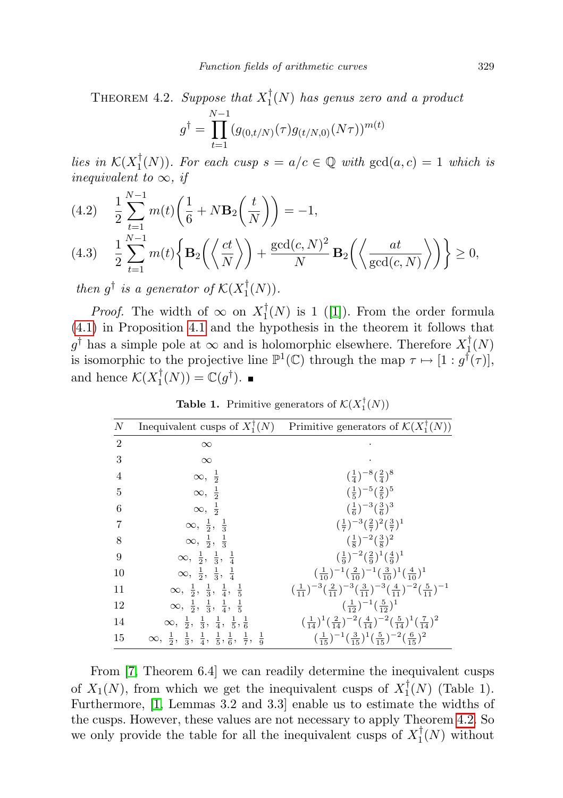THEOREM 4.2. Suppose that  $X_1^{\dagger}$  $\binom{1}{1}(N)$  has genus zero and a product

$$
g^{\dagger} = \prod_{t=1}^{N-1} (g_{(0,t/N)}(\tau)g_{(t/N,0)}(N\tau))^{m(t)}
$$

lies in  $\mathcal{K}(X_1^\dagger)$  $_{1}^{\dagger}(N)$ ). For each cusp  $s = a/c \in \mathbb{Q}$  with  $gcd(a, c) = 1$  which is inequivalent to  $\infty$ , if

(4.2) 
$$
\frac{1}{2} \sum_{t=1}^{N-1} m(t) \left( \frac{1}{6} + N \mathbf{B}_2 \left( \frac{t}{N} \right) \right) = -1,
$$

$$
(4.3) \quad \frac{1}{2} \sum_{t=1}^{N-1} m(t) \left\{ \mathbf{B}_2 \left( \left\langle \frac{ct}{N} \right\rangle \right) + \frac{\text{gcd}(c, N)^2}{N} \mathbf{B}_2 \left( \left\langle \frac{at}{\text{gcd}(c, N)} \right\rangle \right) \right\} \ge 0,
$$

then  $g^{\dagger}$  is a generator of  $\mathcal{K}(X_1^{\dagger})$  $T_1(N)$ .

*Proof.* The width of  $\infty$  on  $X_1^{\dagger}$  $\frac{1}{1}(N)$  is 1 ([\[1\]](#page-12-2)). From the order formula [\(4.1\)](#page-7-1) in Proposition [4.1](#page-7-2) and the hypothesis in the theorem it follows that  $g^{\dagger}$  has a simple pole at  $\infty$  and is holomorphic elsewhere. Therefore  $X_1^{\dagger}$  $\frac{1}{1}(N)$ is isomorphic to the projective line  $\mathbb{P}^1(\mathbb{C})$  through the map  $\tau \mapsto [1: g^{\dagger}(\tau)],$ and hence  $\mathcal{K}(X_1^{\dagger})$  $\mathcal{L}_1^{\dagger}(N)) = \mathbb{C}(g^{\dagger}).$ 

**Table 1.** Primitive generators of  $\mathcal{K}(X_1^{\dagger}(N))$ 

| $\boldsymbol{N}$ | Inequivalent cusps of $X_1^{\dagger}(N)$                                                            | Primitive generators of $\mathcal{K}(X_1^{\dagger}(N))$                                                                                                      |
|------------------|-----------------------------------------------------------------------------------------------------|--------------------------------------------------------------------------------------------------------------------------------------------------------------|
| $\overline{2}$   | $\infty$                                                                                            |                                                                                                                                                              |
| 3                | $\infty$                                                                                            |                                                                                                                                                              |
| 4                | $\infty, \frac{1}{2}$                                                                               | $(\frac{1}{4})^{-8}(\frac{2}{4})^8$                                                                                                                          |
| 5                | $\infty, \frac{1}{2}$                                                                               | $(\frac{1}{5})^{-5}(\frac{2}{5})^5$                                                                                                                          |
| 6                | $\infty, \frac{1}{2}$                                                                               | $(\frac{1}{6})^{-3}(\frac{3}{6})^3$                                                                                                                          |
| 7                | $\infty, \frac{1}{2}, \frac{1}{3}$                                                                  | $(\frac{1}{7})^{-3}(\frac{2}{7})^2(\frac{3}{7})^1$                                                                                                           |
| 8                | $\infty, \frac{1}{2}, \frac{1}{3}$                                                                  | $(\frac{1}{8})^{-2}(\frac{3}{8})^2$                                                                                                                          |
| 9                | $\infty, \frac{1}{2}, \frac{1}{3}, \frac{1}{4}$                                                     | $(\frac{1}{9})^{-2}(\frac{2}{9})^1(\frac{4}{9})^1$                                                                                                           |
| 10               | $\infty, \frac{1}{2}, \frac{1}{3}, \frac{1}{4}$                                                     | $\left(\frac{1}{10}\right)^{-1} \left(\frac{2}{10}\right)^{-1} \left(\frac{3}{10}\right)^{1} \left(\frac{4}{10}\right)^{1}$                                  |
| 11               | $\infty, \frac{1}{2}, \frac{1}{3}, \frac{1}{4}, \frac{1}{5}$                                        | $\left(\frac{1}{11}\right)^{-3} \left(\frac{2}{11}\right)^{-3} \left(\frac{3}{11}\right)^{-3} \left(\frac{4}{11}\right)^{-2} \left(\frac{5}{11}\right)^{-1}$ |
| 12               | $\infty, \frac{1}{2}, \frac{1}{3}, \frac{1}{4}, \frac{1}{5}$                                        | $(\frac{1}{12})^{-1}(\frac{5}{12})^{1}$                                                                                                                      |
| 14               | $\infty, \frac{1}{2}, \frac{1}{3}, \frac{1}{4}, \frac{1}{5}, \frac{1}{6}$                           | $\left(\frac{1}{14}\right)^1 \left(\frac{2}{14}\right)^{-2} \left(\frac{4}{14}\right)^{-2} \left(\frac{5}{14}\right)^1 \left(\frac{7}{14}\right)^2$          |
| 15               | $\infty, \frac{1}{2}, \frac{1}{3}, \frac{1}{4}, \frac{1}{5}, \frac{1}{6}, \frac{1}{7}, \frac{1}{9}$ | $(\frac{1}{15})^{-1}(\frac{3}{15})^{1}(\frac{5}{15})^{-2}(\frac{6}{15})^{2}$                                                                                 |

From [\[7,](#page-13-3) Theorem 6.4] we can readily determine the inequivalent cusps of  $X_1(N)$ , from which we get the inequivalent cusps of  $X_1^{\dagger}$  $T_1(N)$  (Table 1). Furthermore, [\[1,](#page-12-2) Lemmas 3.2 and 3.3] enable us to estimate the widths of the cusps. However, these values are not necessary to apply Theorem [4.2.](#page-7-0) So we only provide the table for all the inequivalent cusps of  $X_1^{\dagger}$  $T_1(N)$  without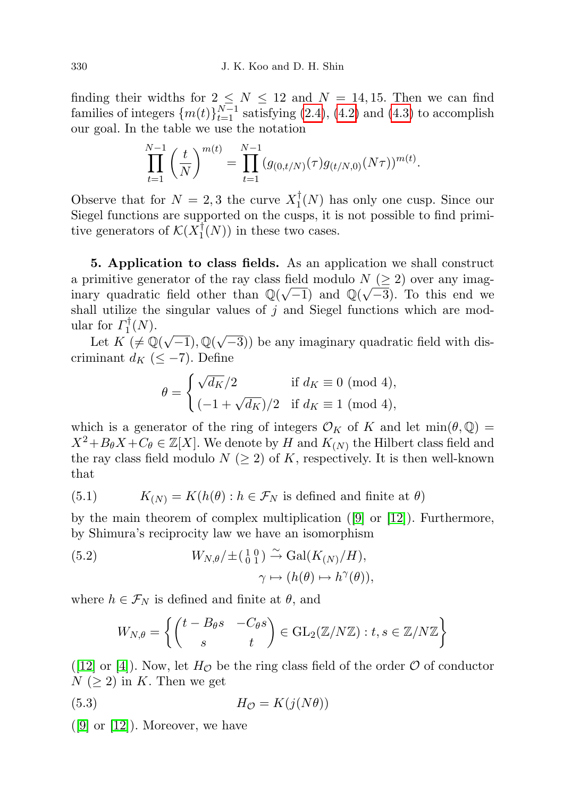finding their widths for  $2 \leq N \leq 12$  and  $N = 14, 15$ . Then we can find families of integers  $\{m(t)\}_{t=1}^{N-1}$  satisfying [\(2.4\)](#page-3-3), [\(4.2\)](#page-7-0) and [\(4.3\)](#page-7-0) to accomplish our goal. In the table we use the notation

$$
\prod_{t=1}^{N-1} \left(\frac{t}{N}\right)^{m(t)} = \prod_{t=1}^{N-1} (g_{(0,t/N)}(\tau)g_{(t/N,0)}(N\tau))^{m(t)}.
$$

Observe that for  $N = 2, 3$  the curve  $X_1^{\dagger}$  $\frac{1}{1}(N)$  has only one cusp. Since our Siegel functions are supported on the cusps, it is not possible to find primitive generators of  $\mathcal{K}(X_1^{\dagger})$  $\binom{1}{1}(N)$  in these two cases.

5. Application to class fields. As an application we shall construct a primitive generator of the ray class field modulo  $N \geq 2$ ) over any imaginary quadratic field other than  $\mathbb{Q}(\sqrt{-1})$  and  $\mathbb{Q}(\sqrt{-3})$ . To this end we shall utilize the singular values of  $j$  and Siegel functions which are modular for  $\Gamma_1^{\dagger}$  $T_1^{\dagger}(N)$ .

Let  $K \neq \mathbb{Q}(\sqrt{-1}), \mathbb{Q}(\sqrt{-1})$ −3)) be any imaginary quadratic field with discriminant  $d_K$  ( $\leq -7$ ). Define

$$
\theta = \begin{cases} \sqrt{d_K}/2 & \text{if } d_K \equiv 0 \text{ (mod 4)}, \\ (-1 + \sqrt{d_K})/2 & \text{if } d_K \equiv 1 \text{ (mod 4)}, \end{cases}
$$

which is a generator of the ring of integers  $\mathcal{O}_K$  of K and let  $\min(\theta, \mathbb{Q}) =$  $X^2 + B_\theta X + C_\theta \in \mathbb{Z}[X]$ . We denote by H and  $K_{(N)}$  the Hilbert class field and the ray class field modulo  $N \geq 2$  of K, respectively. It is then well-known that

<span id="page-9-1"></span>(5.1) 
$$
K_{(N)} = K(h(\theta) : h \in \mathcal{F}_N \text{ is defined and finite at } \theta)
$$

by the main theorem of complex multiplication  $(9)$  or  $[12]$ ). Furthermore, by Shimura's reciprocity law we have an isomorphism

(5.2) 
$$
W_{N,\theta}/\pm\left(\begin{smallmatrix} 1 & 0 \\ 0 & 1 \end{smallmatrix}\right) \xrightarrow{\sim} \text{Gal}(K_{(N)}/H),
$$

$$
\gamma \mapsto (h(\theta) \mapsto h^{\gamma}(\theta)),
$$

where  $h \in \mathcal{F}_N$  is defined and finite at  $\theta$ , and

<span id="page-9-2"></span>
$$
W_{N,\theta} = \left\{ \begin{pmatrix} t - B_{\theta} s & -C_{\theta} s \\ s & t \end{pmatrix} \in \text{GL}_2(\mathbb{Z}/N\mathbb{Z}) : t, s \in \mathbb{Z}/N\mathbb{Z} \right\}
$$

([\[12\]](#page-13-0) or [\[4\]](#page-12-3)). Now, let  $H_{\mathcal{O}}$  be the ring class field of the order  $\mathcal{O}$  of conductor  $N \geq 2$  in K. Then we get

$$
(5.3) \tHO = K(j(N\theta))
$$

<span id="page-9-0"></span> $([9] \text{ or } [12])$  $([9] \text{ or } [12])$  $([9] \text{ or } [12])$  $([9] \text{ or } [12])$  $([9] \text{ or } [12])$ . Moreover, we have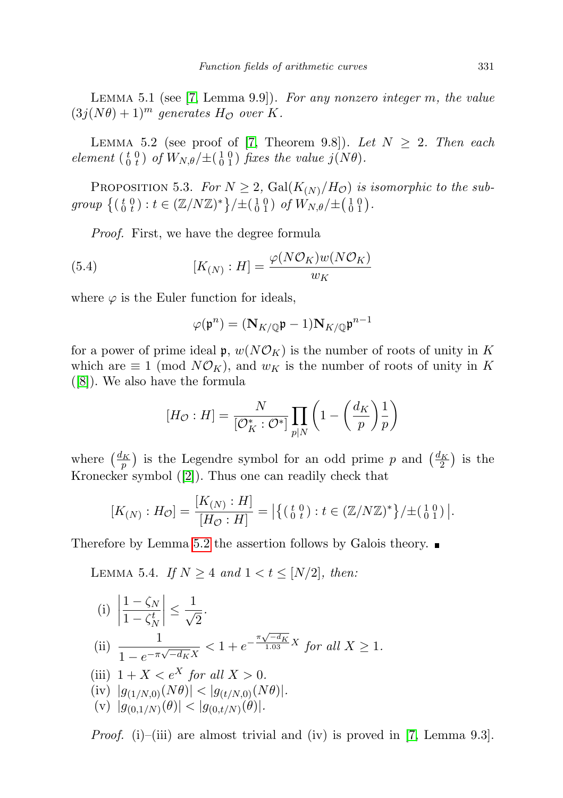LEMMA 5.1 (see [\[7,](#page-13-3) Lemma 9.9]). For any nonzero integer m, the value  $(3j(N\theta) + 1)^m$  generates  $H_{\mathcal{O}}$  over K.

<span id="page-10-1"></span>LEMMA 5.2 (see proof of [\[7,](#page-13-3) Theorem 9.8]). Let  $N \geq 2$ . Then each element  $\begin{pmatrix} t & 0 \\ 0 & t \end{pmatrix}$  of  $W_{N,\theta}/\pm(\begin{pmatrix} 1 & 0 \\ 0 & 1 \end{pmatrix})$  fixes the value  $j(N\theta)$ .

<span id="page-10-0"></span>PROPOSITION 5.3. For  $N \geq 2$ ,  $Gal(K_{(N)}/H_{\mathcal{O}}))$  is isomorphic to the subgroup  $\{(t_0^0 t) : t \in (\mathbb{Z}/N\mathbb{Z})^*\}/\pm (\begin{smallmatrix} 1 & 0 \\ 0 & 1 \end{smallmatrix})$  of  $W_{N,\theta}/\pm (\begin{smallmatrix} 1 & 0 \\ 0 & 1 \end{smallmatrix})$ .

Proof. First, we have the degree formula

(5.4) 
$$
[K_{(N)} : H] = \frac{\varphi(N\mathcal{O}_K)w(N\mathcal{O}_K)}{w_K}
$$

where  $\varphi$  is the Euler function for ideals,

$$
\varphi(\mathfrak{p}^n) = (\mathbf{N}_{K/\mathbb{Q}} \mathfrak{p} - 1) \mathbf{N}_{K/\mathbb{Q}} \mathfrak{p}^{n-1}
$$

for a power of prime ideal  $\mathfrak{p}, w(N\mathcal{O}_K)$  is the number of roots of unity in K which are  $\equiv 1 \pmod{N\mathcal{O}_K}$ , and  $w_K$  is the number of roots of unity in K ([\[8\]](#page-13-2)). We also have the formula

$$
[H_{\mathcal{O}} : H] = \frac{N}{[\mathcal{O}_K^* : \mathcal{O}^*]} \prod_{p|N} \left(1 - \left(\frac{d_K}{p}\right) \frac{1}{p}\right)
$$

where  $\left(\frac{d_K}{p}\right)$  is the Legendre symbol for an odd prime p and  $\left(\frac{d_K}{2}\right)$  is the Kronecker symbol ([\[2\]](#page-12-4)). Thus one can readily check that

$$
[K_{(N)} : H_{\mathcal{O}}] = \frac{[K_{(N)} : H]}{[H_{\mathcal{O}} : H]} = \left| \{ (\begin{smallmatrix} t & 0 \\ 0 & t \end{smallmatrix}) : t \in (\mathbb{Z}/N\mathbb{Z})^* \} / \pm (\begin{smallmatrix} 1 & 0 \\ 0 & 1 \end{smallmatrix}) \right|.
$$

Therefore by Lemma [5.2](#page-10-1) the assertion follows by Galois theory.

<span id="page-10-2"></span>LEMMA 5.4. If  $N \geq 4$  and  $1 < t \leq [N/2]$ , then:

(i)      $1-\zeta_N$  $1-\zeta_N^t$  $\begin{array}{c} \begin{array}{c} \begin{array}{c} \end{array} \\ \begin{array}{c} \end{array} \end{array} \end{array}$ ≤ 1 √ 2 .  $\frac{1}{\cdot}$  $\frac{1}{1 - e^{-\pi \sqrt{-d_K} X}} < 1 + e^{-\frac{\pi \sqrt{-d_K}}{1.03} X}$  for all  $X \ge 1$ . (iii)  $1 + X < e^X$  for all  $X > 0$ . (iv)  $|g_{(1/N,0)}(N\theta)| < |g_{(t/N,0)}(N\theta)|$ . (v)  $|g_{(0,1/N)}(\theta)| < |g_{(0,t/N)}(\theta)|$ .

*Proof.* (i)–(iii) are almost trivial and (iv) is proved in [\[7,](#page-13-3) Lemma 9.3].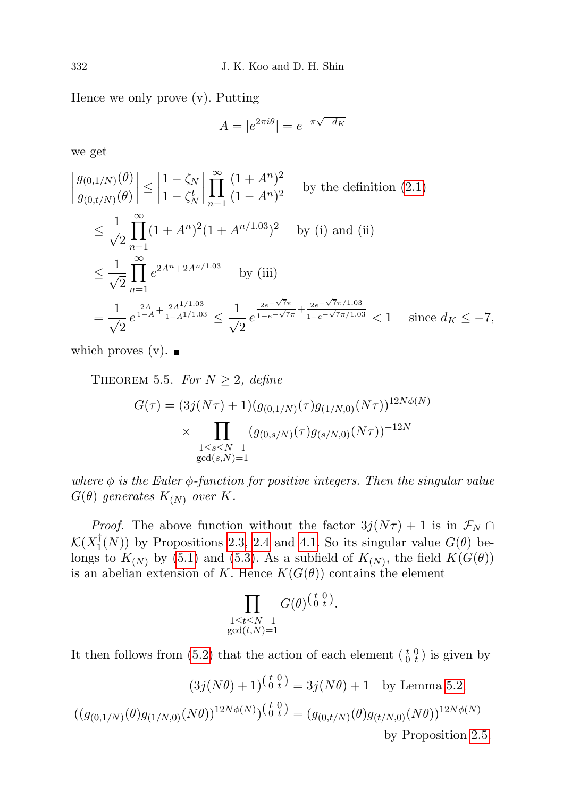Hence we only prove (v). Putting

$$
A = |e^{2\pi i \theta}| = e^{-\pi \sqrt{-d_K}}
$$

we get

$$
\left| \frac{g_{(0,1/N)}(\theta)}{g_{(0,t/N)}(\theta)} \right| \le \left| \frac{1 - \zeta_N}{1 - \zeta_N^t} \right| \prod_{n=1}^{\infty} \frac{(1 + A^n)^2}{(1 - A^n)^2} \quad \text{by the definition (2.1)}
$$
\n
$$
\le \frac{1}{\sqrt{2}} \prod_{n=1}^{\infty} (1 + A^n)^2 (1 + A^{n/1.03})^2 \quad \text{by (i) and (ii)}
$$
\n
$$
\le \frac{1}{\sqrt{2}} \prod_{n=1}^{\infty} e^{2A^n + 2A^{n/1.03}} \quad \text{by (iii)}
$$
\n
$$
= \frac{1}{\sqrt{2}} e^{\frac{2A}{1 - A} + \frac{2A^{1/1.03}}{1 - A^{1/1.03}}} \le \frac{1}{\sqrt{2}} e^{\frac{2e^{-\sqrt{7}\pi}}{1 - e^{-\sqrt{7}\pi}} + \frac{2e^{-\sqrt{7}\pi/1.03}}{1 - e^{-\sqrt{7}\pi/1.03}}} < 1 \quad \text{since } d_K \le -7,
$$

which proves (v).  $\blacksquare$ 

<span id="page-11-0"></span>THEOREM 5.5. For  $N \geq 2$ , define

$$
G(\tau) = (3j(N\tau) + 1)(g_{(0,1/N)}(\tau)g_{(1/N,0)}(N\tau))^{12N\phi(N)}
$$
  
 
$$
\times \prod_{\substack{1 \leq s \leq N-1 \\ \gcd(s,N)=1}} (g_{(0,s/N)}(\tau)g_{(s/N,0)}(N\tau))^{-12N}
$$

where  $\phi$  is the Euler  $\phi$ -function for positive integers. Then the singular value  $G(\theta)$  generates  $K_{(N)}$  over K.

*Proof.* The above function without the factor  $3j(N\tau) + 1$  is in  $\mathcal{F}_N \cap$  $\mathcal{K}(X_1^\dagger$  $T_1(N)$  by Propositions [2.3,](#page-2-2) [2.4](#page-3-1) and [4.1.](#page-7-2) So its singular value  $G(\theta)$  belongs to  $K_{(N)}$  by [\(5.1\)](#page-9-1) and [\(5.3\)](#page-9-2). As a subfield of  $K_{(N)}$ , the field  $K(G(\theta))$ is an abelian extension of K. Hence  $K(G(\theta))$  contains the element

$$
\prod_{\substack{1 \leq t \leq N-1 \\ \gcd(t,N)=1}} G(\theta)^{\left(\begin{smallmatrix} t & 0 \\ 0 & t \end{smallmatrix}\right)}.
$$

It then follows from [\(5.2\)](#page-9-1) that the action of each element  $\begin{pmatrix} t & 0 \\ 0 & t \end{pmatrix}$  is given by

$$
(3j(N\theta) + 1)^{\binom{t}{0}\frac{t}{t}} = 3j(N\theta) + 1
$$
 by Lemma 5.2,

$$
((g_{(0,1/N)}(\theta)g_{(1/N,0)}(N\theta))^{12N\phi(N)})^{(\frac{t}{0}\theta)} = (g_{(0,t/N)}(\theta)g_{(t/N,0)}(N\theta))^{12N\phi(N)}
$$
by Proposition 2.5,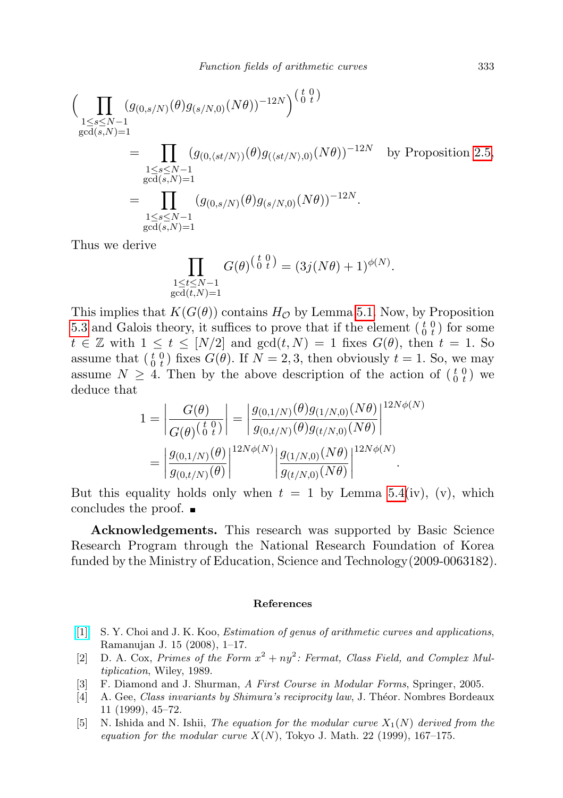$$
\left(\prod_{\substack{1\leq s\leq N-1\\ \gcd(s,N)=1}} (g_{(0,s/N)}(\theta)g_{(s/N,0)}(N\theta))^{-12N}\right)^{\left(\frac{t}{0}\frac{0}{t}\right)}\n=\prod_{\substack{1\leq s\leq N-1\\ \gcd(s,N)=1}} (g_{(0,\langle st/N\rangle)}(\theta)g_{(\langle st/N\rangle,0)}(N\theta))^{-12N} \text{ by Proposition 2.5},\n=\prod_{\substack{1\leq s\leq N-1\\ \gcd(s,N)=1}} (g_{(0,s/N)}(\theta)g_{(s/N,0)}(N\theta))^{-12N}.
$$

Thus we derive

$$
\prod_{\substack{1 \le t \le N-1 \\ \gcd(t,N)=1}} G(\theta)^{\left(\begin{smallmatrix} t & 0 \\ 0 & t \end{smallmatrix}\right)} = (3j(N\theta) + 1)^{\phi(N)}.
$$

This implies that  $K(G(\theta))$  contains  $H_{\mathcal{O}}$  by Lemma [5.1.](#page-9-0) Now, by Proposition [5.3](#page-10-0) and Galois theory, it suffices to prove that if the element  $\begin{pmatrix} t & 0 \\ 0 & t \end{pmatrix}$  for some  $t \in \mathbb{Z}$  with  $1 \leq t \leq [N/2]$  and  $gcd(t, N) = 1$  fixes  $G(\theta)$ , then  $t = 1$ . So assume that  $\begin{pmatrix} t & 0 \\ 0 & t \end{pmatrix}$  fixes  $G(\theta)$ . If  $N = 2, 3$ , then obviously  $t = 1$ . So, we may assume  $N \geq 4$ . Then by the above description of the action of  $\begin{pmatrix} t & 0 \\ 0 & t \end{pmatrix}$  we deduce that

$$
1 = \left| \frac{G(\theta)}{G(\theta)^{\left(\frac{t}{0}\right)}t} \right| = \left| \frac{g_{(0,1/N)}(\theta)g_{(1/N,0)}(N\theta)}{g_{(0,t/N)}(\theta)g_{(t/N,0)}(N\theta)} \right|^{12N\phi(N)} = \left| \frac{g_{(0,1/N)}(\theta)}{g_{(0,t/N)}(\theta)} \right|^{12N\phi(N)} \left| \frac{g_{(1/N,0)}(N\theta)}{g_{(t/N,0)}(N\theta)} \right|^{12N\phi(N)}.
$$

But this equality holds only when  $t = 1$  by Lemma [5.4\(](#page-10-2)iv), (v), which concludes the proof.

Acknowledgements. This research was supported by Basic Science Research Program through the National Research Foundation of Korea funded by the Ministry of Education, Science and Technology(2009-0063182).

## References

- <span id="page-12-2"></span>[\[1\]](http://dx.doi.org/10.1007/s11139-007-9063-3) S. Y. Choi and J. K. Koo, Estimation of genus of arithmetic curves and applications, Ramanujan J. 15 (2008), 1–17.
- <span id="page-12-4"></span>[2] D. A. Cox, Primes of the Form  $x^2 + ny^2$ : Fermat, Class Field, and Complex Multiplication, Wiley, 1989.
- <span id="page-12-0"></span>[3] F. Diamond and J. Shurman, A First Course in Modular Forms, Springer, 2005.
- <span id="page-12-3"></span>[4] A. Gee, Class invariants by Shimura's reciprocity law, J. Théor. Nombres Bordeaux 11 (1999), 45–72.
- <span id="page-12-1"></span>[5] N. Ishida and N. Ishii, The equation for the modular curve  $X_1(N)$  derived from the equation for the modular curve  $X(N)$ , Tokyo J. Math. 22 (1999), 167–175.